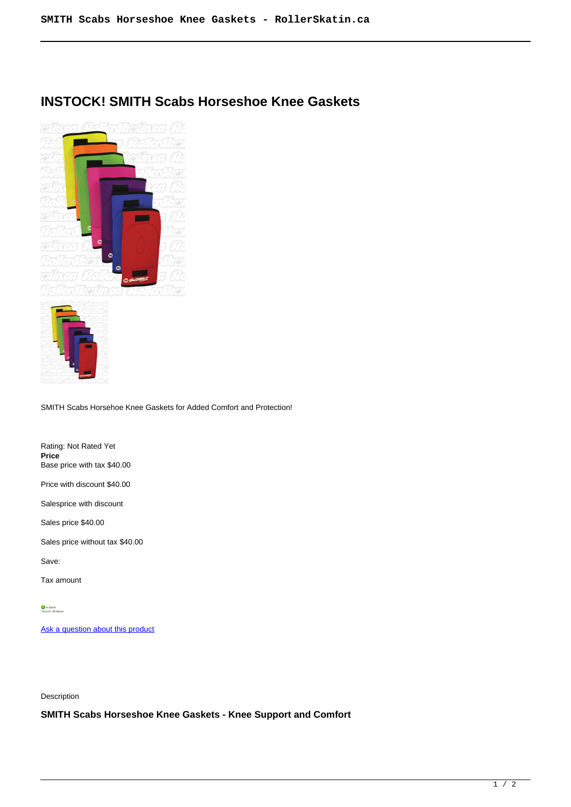## **INSTOCK! SMITH Scabs Horseshoe Knee Gaskets**



SMITH Scabs Horsehoe Knee Gaskets for Added Comfort and Protection!

Rating: Not Rated Yet **Price**  Base price with tax \$40.00

Price with discount \$40.00

Salesprice with discount

Sales price \$40.00

Sales price without tax \$40.00

Save:

Tax amount

[Ask a question about this product](https://rollerskatin.ca/index.php?option=com_virtuemart&view=productdetails&task=askquestion&virtuemart_product_id=1005&virtuemart_category_id=40&tmpl=component)

Description

**SMITH Scabs Horseshoe Knee Gaskets - Knee Support and Comfort**